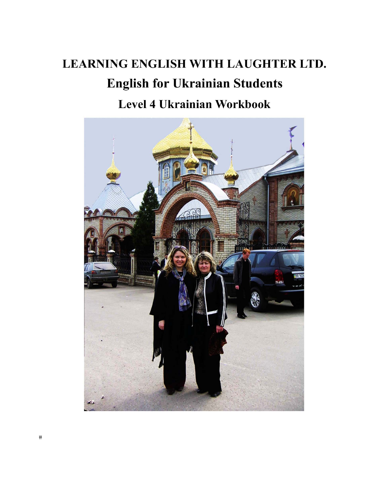# **LEARNING ENGLISH WITH LAUGHTER LTD. English for Ukrainian Students** Level 4 Ukrainian Workbook

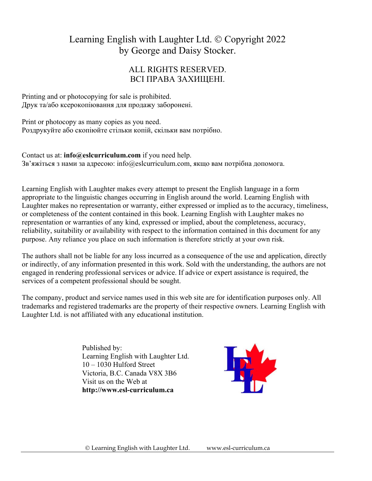# Learning English with Laughter Ltd. © Copyright 2022 by George and Daisy Stocker.

### ALL RIGHTS RESERVED. ВСІ ПРАВА ЗАХИЩЕНІ.

Printing and or photocopying for sale is prohibited. Друк та/або ксерокопіювання для продажу заборонені.

Print or photocopy as many copies as you need. Роздрукуйте або скопіюйте стільки копій, скільки вам потрібно.

Contact us at: **info@eslcurriculum.com** if you need help. Зв'яжіться з нами за адресою: info@eslcurriculum.com, якщо вам потрібна допомога.

Learning English with Laughter makes every attempt to present the English language in a form appropriate to the linguistic changes occurring in English around the world. Learning English with Laughter makes no representation or warranty, either expressed or implied as to the accuracy, timeliness, or completeness of the content contained in this book. Learning English with Laughter makes no representation or warranties of any kind, expressed or implied, about the completeness, accuracy, reliability, suitability or availability with respect to the information contained in this document for any purpose. Any reliance you place on such information is therefore strictly at your own risk.

The authors shall not be liable for any loss incurred as a consequence of the use and application, directly or indirectly, of any information presented in this work. Sold with the understanding, the authors are not engaged in rendering professional services or advice. If advice or expert assistance is required, the services of a competent professional should be sought.

The company, product and service names used in this web site are for identification purposes only. All trademarks and registered trademarks are the property of their respective owners. Learning English with Laughter Ltd. is not affiliated with any educational institution.

> Published by: Learning English with Laughter Ltd. 10 – 1030 Hulford Street Victoria, B.C. Canada V8X 3B6 Visit us on the Web at  **http://www.esl-curriculum.ca**

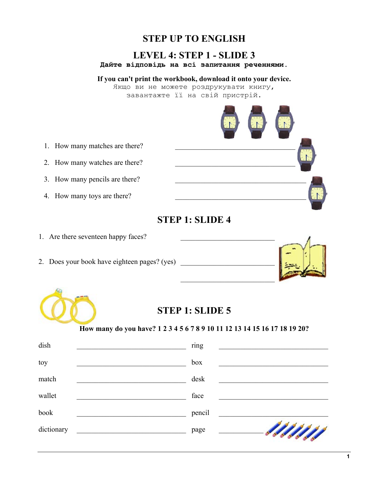## **STEP UP TO ENGLISH**

#### **LEVEL 4: STEP 1 - SLIDE 3 Дайте відповідь на всі запитання реченнями.**

**If you can't print the workbook, download it onto your device.**  Якщо ви не можете роздрукувати книгу,

завантажте її на свій пристрій.



# **STEP 1: SLIDE 4**

1. Are there seventeen happy faces?

1. How many matches are there?

2. How many watches are there?

3. How many pencils are there?

4. How many toys are there?

2. Does your book have eighteen pages? (yes)





## **STEP 1: SLIDE 5**

#### **How many do you have? 1 2 3 4 5 6 7 8 9 10 11 12 13 14 15 16 17 18 19 20?**

| dish       | ring   |       |
|------------|--------|-------|
| toy        | box    |       |
| match      | desk   |       |
| wallet     | face   |       |
| book       | pencil |       |
| dictionary | page   | - MM/ |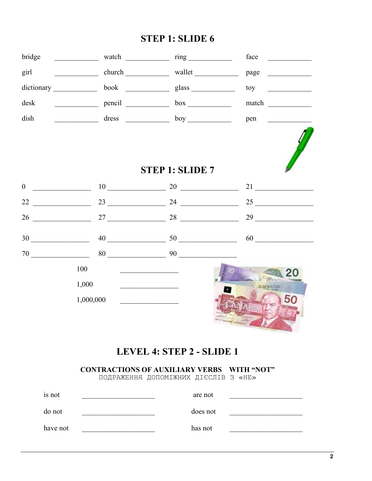# STEP 1: SLIDE 6

| bridge                        |                |                                                              | $face \_$                                       |
|-------------------------------|----------------|--------------------------------------------------------------|-------------------------------------------------|
| girl $\qquad \qquad$          |                | church wallet                                                | page                                            |
|                               |                |                                                              | $\frac{1}{2}$ toy                               |
| desk                          | pencil box box |                                                              | match                                           |
| dish                          |                | $dress$ $boy$                                                |                                                 |
|                               |                |                                                              |                                                 |
|                               |                | <b>STEP 1: SLIDE 7</b>                                       |                                                 |
|                               | $0 \t 10$ 20   |                                                              |                                                 |
|                               |                |                                                              | 25                                              |
| 26                            |                |                                                              | $\frac{27}{25}$ $\frac{28}{28}$ $\frac{29}{25}$ |
| $30 \underline{\hspace{1cm}}$ |                | $40 \underline{\hspace{1.5cm}50 \underline{\hspace{1.5cm}}}$ | $60 \underline{\hspace{1.5cm}}$                 |
|                               |                | $80 \qquad \qquad 90 \qquad \qquad$                          |                                                 |
|                               | 100            |                                                              |                                                 |
|                               | 1,000          |                                                              | CANADA                                          |
|                               | 1,000,000      |                                                              | 50                                              |
|                               |                |                                                              |                                                 |

# LEVEL 4: STEP 2 - SLIDE 1

#### **CONTRACTIONS OF AUXILIARY VERBS WITH "NOT"**

ПОДРАЖЕННЯ ДОПОМІЖНИХ ДІЄСЛІВ З «НЕ»

| is not   | are not  |  |
|----------|----------|--|
| do not   | does not |  |
| have not | has not  |  |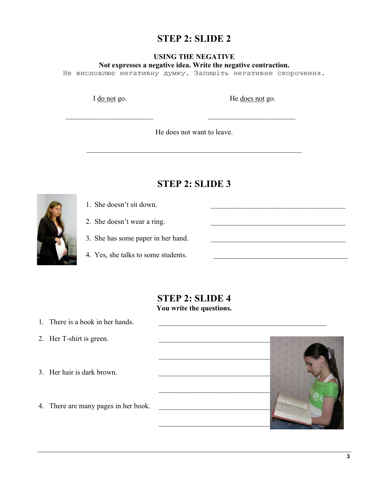### **STEP 2: SLIDE 2**

#### **USING THE NEGATIVE Not expresses a negative idea. Write the negative contraction.**

Не висловлює негативну думку. Запишіть негативне скорочення.

I do not go. He does not go.

He does not want to leave.

 $\mathcal{L}_\text{max} = \frac{1}{2} \sum_{i=1}^n \frac{1}{2} \sum_{i=1}^n \frac{1}{2} \sum_{i=1}^n \frac{1}{2} \sum_{i=1}^n \frac{1}{2} \sum_{i=1}^n \frac{1}{2} \sum_{i=1}^n \frac{1}{2} \sum_{i=1}^n \frac{1}{2} \sum_{i=1}^n \frac{1}{2} \sum_{i=1}^n \frac{1}{2} \sum_{i=1}^n \frac{1}{2} \sum_{i=1}^n \frac{1}{2} \sum_{i=1}^n \frac{1}{2} \sum_{i=1}^n$ 

### **STEP 2: SLIDE 3**

- 1. She doesn't sit down.
	- 2. She doesn't wear a ring.
	- 3. She has some paper in her hand.
	- 4. Yes, she talks to some students.

### **STEP 2: SLIDE 4 You write the questions.**

- 1. There is a book in her hands.
- 2. Her T-shirt is green.
- 3. Her hair is dark brown.
- 4. There are many pages in her book.

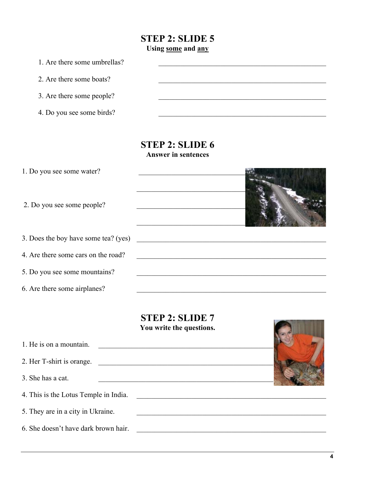### **STEP 2: SLIDE 5 Using some and any**

1. Are there some umbrellas?

2. Are there some boats?

3. Are there some people?

4. Do you see some birds?

#### **STEP 2: SLIDE 6 Answer in sentences**

| 1. Do you see some water?            |  |
|--------------------------------------|--|
| 2. Do you see some people?           |  |
| 3. Does the boy have some tea? (yes) |  |
| 4. Are there some cars on the road?  |  |
| 5. Do you see some mountains?        |  |
| 6. Are there some airplanes?         |  |

# **STEP 2: SLIDE 7**

|                                       | You write the questions. |
|---------------------------------------|--------------------------|
| 1. He is on a mountain.               |                          |
| 2. Her T-shirt is orange.             |                          |
| 3. She has a cat.                     |                          |
| 4. This is the Lotus Temple in India. |                          |
| 5. They are in a city in Ukraine.     |                          |
| 6. She doesn't have dark brown hair.  |                          |

**The Communication**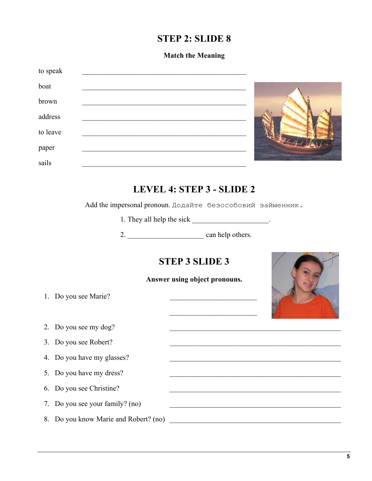### **STEP 2: SLIDE 8**

#### **Match the Meaning**

| to speak |  |
|----------|--|
| boat     |  |
| brown    |  |
| address  |  |
| to leave |  |
| paper    |  |
| sails    |  |
|          |  |

## **LEVEL 4: STEP 3 - SLIDE 2**

Add the impersonal pronoun. Додайте безособовий займенник.

1. They all help the sick \_\_\_\_\_\_\_\_\_\_\_\_\_\_\_\_\_\_\_.

2. \_\_\_\_\_\_\_\_\_\_\_\_\_\_\_\_\_\_\_\_\_ can help others.

# **STEP 3 SLIDE 3**

#### **Answer using object pronouns.**

1. Do you see Marie?

2. Do you see my dog?

3. Do you see Robert?

4. Do you have my glasses?

5. Do you have my dress?

6. Do you see Christine?

7. Do you see your family? (no)

8. Do you know Marie and Robert? (no)

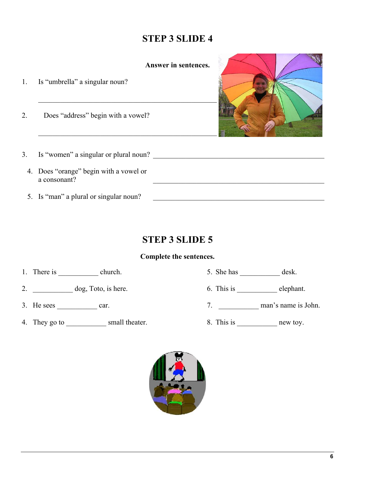# **STEP 3 SLIDE 4**

**Answer in sentences.** 

1. Is "umbrella" a singular noun?  $\mathcal{L}_\text{max} = \frac{1}{2} \sum_{i=1}^{n} \frac{1}{2} \sum_{i=1}^{n} \frac{1}{2} \sum_{i=1}^{n} \frac{1}{2} \sum_{i=1}^{n} \frac{1}{2} \sum_{i=1}^{n} \frac{1}{2} \sum_{i=1}^{n} \frac{1}{2} \sum_{i=1}^{n} \frac{1}{2} \sum_{i=1}^{n} \frac{1}{2} \sum_{i=1}^{n} \frac{1}{2} \sum_{i=1}^{n} \frac{1}{2} \sum_{i=1}^{n} \frac{1}{2} \sum_{i=1}^{n} \frac{1$ 

2. Does "address" begin with a vowel?



- 3. Is "women" a singular or plural noun? \_\_\_\_\_\_\_\_\_\_\_\_\_\_\_\_\_\_\_\_\_\_\_\_\_\_\_\_\_\_\_\_\_\_\_\_\_\_\_\_\_\_\_\_\_\_\_
	- 4. Does "orange" begin with a vowel or a consonant?
	- 5. Is "man" a plural or singular noun?

# **STEP 3 SLIDE 5**

#### **Complete the sentences.**

1. There is \_\_\_\_\_\_\_\_\_\_\_\_ church. 5. She has \_\_\_\_\_\_\_\_\_\_\_ desk.

- 
- 
- 4. They go to \_\_\_\_\_\_\_\_\_\_\_\_ small theater. 8. This is \_\_\_\_\_\_\_\_\_\_\_\_\_\_ new toy.
- 
- 2. dog, Toto, is here. 6. This is elephant.
- 3. He sees  $\frac{1}{\sqrt{3}}$  car.  $\frac{1}{\sqrt{3}}$  car.  $\frac{1}{\sqrt{3}}$  and  $\frac{1}{\sqrt{3}}$  man's name is John.
	-

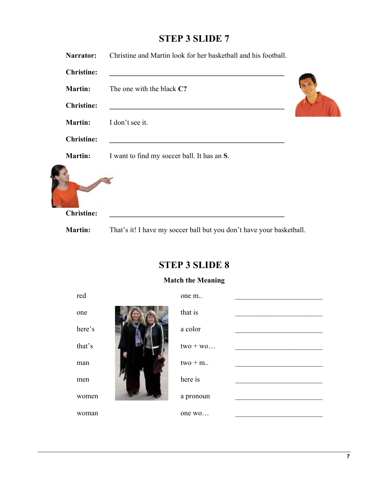# **STEP 3 SLIDE 7**

| Narrator:         | Christine and Martin look for her basketball and his football.                                                       |  |
|-------------------|----------------------------------------------------------------------------------------------------------------------|--|
| <b>Christine:</b> |                                                                                                                      |  |
| <b>Martin:</b>    | The one with the black C?                                                                                            |  |
| <b>Christine:</b> | <u> 1980 - Johann John Stein, marwolaeth a bhann an t-Amhainn an t-Amhainn an t-Amhainn an t-Amhainn an t-Amhain</u> |  |
| <b>Martin:</b>    | I don't see it.                                                                                                      |  |
| <b>Christine:</b> |                                                                                                                      |  |
| <b>Martin:</b>    | I want to find my soccer ball. It has an S.                                                                          |  |
|                   |                                                                                                                      |  |
| <b>Christine:</b> |                                                                                                                      |  |
| <b>Martin:</b>    | That's it! I have my soccer ball but you don't have your basketball.                                                 |  |

# **STEP 3 SLIDE 8**

### **Match the Meaning**

| red    | one m       |  |
|--------|-------------|--|
| one    | that is     |  |
| here's | a color     |  |
| that's | $two + wo$  |  |
| man    | $two + m$ . |  |
| men    | here is     |  |
| women  | a pronoun   |  |
| woman  | one wo      |  |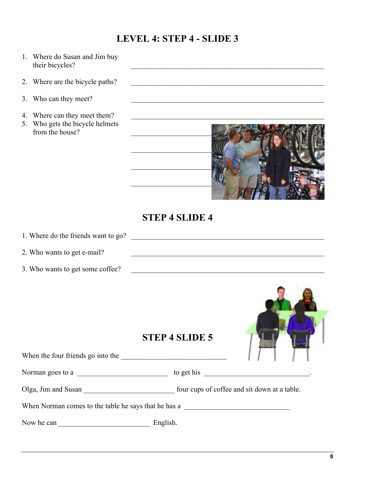## **LEVEL 4: STEP 4 - SLIDE 3**

- 1. Where do Susan and Jim buy their bicycles?
- 2. Where are the bicycle paths?
- 3. Who can they meet?
- 4. Where can they meet them?
- 5. Who gets the bicycle helmets from the house?



### **STEP 4 SLIDE 4**

1. Where do the friends want to go?

2. Who wants to get e-mail?

3. Who wants to get some coffee? \_\_\_\_\_\_\_\_\_\_\_\_\_\_\_\_\_\_\_\_\_\_\_\_\_\_\_\_\_\_\_\_\_\_\_\_\_\_\_\_\_\_\_\_\_\_\_\_\_\_\_\_\_

### **STEP 4 SLIDE 5**



## When the four friends go into the 2000 and the 2000 and 2000 and 2000 and 2000 and 2000 and 2000 and 2000 and 2000 and 2000 and 2000 and 2000 and 2000 and 2000 and 2000 and 2000 and 2000 and 2000 and 2000 and 2000 and 2000

Norman goes to a \_\_\_\_\_\_\_\_\_\_\_\_\_\_\_\_\_\_\_\_\_\_\_\_\_ to get his \_\_\_\_\_\_\_\_\_\_\_\_\_\_\_\_\_\_\_\_\_\_\_\_\_\_\_\_\_.

Olga, Jim and Susan \_\_\_\_\_\_\_\_\_\_\_\_\_\_\_\_\_\_\_\_\_\_\_\_\_ four cups of coffee and sit down at a table.

When Norman comes to the table he says that he has a \_\_\_\_\_\_\_\_\_\_\_\_\_\_\_\_\_\_\_\_\_\_\_\_\_\_\_\_

Now he can \_\_\_\_\_\_\_\_\_\_\_\_\_\_\_\_\_\_\_\_\_\_\_\_\_ English.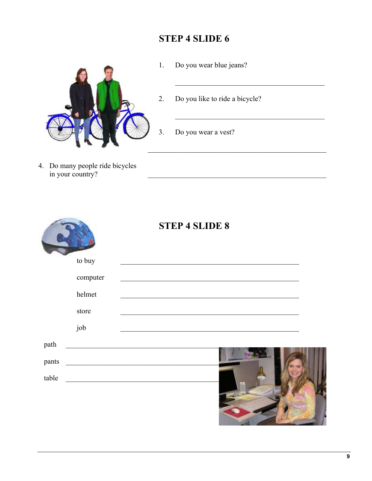# **STEP 4 SLIDE 6**



- $1.$ Do you wear blue jeans?
- Do you like to ride a bicycle?  $2.$
- Do you wear a vest?  $\overline{3}$ .
- 4. Do many people ride bicycles<br>in your country?

|       |          | <b>STEP 4 SLIDE 8</b>                                                                                                  |
|-------|----------|------------------------------------------------------------------------------------------------------------------------|
|       | to buy   |                                                                                                                        |
|       | computer |                                                                                                                        |
|       | helmet   |                                                                                                                        |
|       | store    |                                                                                                                        |
|       | job      |                                                                                                                        |
| path  |          | <u> 1989 - Johann Stein, marwolaethau (b. 1989)</u>                                                                    |
| pants |          |                                                                                                                        |
| table |          | <u> 1989 - Johann John Stoff, deutscher Stoffen und der Stoffen und der Stoffen und der Stoffen und der Stoffen un</u> |
|       |          | $\mathcal{L}(\mathcal{A})$                                                                                             |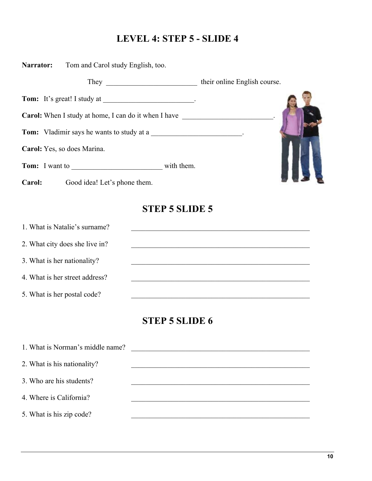# **LEVEL 4: STEP 5 - SLIDE 4**

| Narrator: | Tom and Carol study English, too.                                                                                                                                                                                              |            |                              |  |
|-----------|--------------------------------------------------------------------------------------------------------------------------------------------------------------------------------------------------------------------------------|------------|------------------------------|--|
|           | They manufactured the contract of the contract of the contract of the contract of the contract of the contract of the contract of the contract of the contract of the contract of the contract of the contract of the contract |            | their online English course. |  |
|           |                                                                                                                                                                                                                                |            |                              |  |
|           | <b>Carol:</b> When I study at home, I can do it when I have                                                                                                                                                                    |            |                              |  |
|           | <b>Tom:</b> Vladimir says he wants to study at a                                                                                                                                                                               |            |                              |  |
|           | Carol: Yes, so does Marina.                                                                                                                                                                                                    |            |                              |  |
|           | <b>Tom:</b> I want to                                                                                                                                                                                                          | with them. |                              |  |
| Carol:    | Good idea! Let's phone them.                                                                                                                                                                                                   |            |                              |  |
|           |                                                                                                                                                                                                                                |            |                              |  |

# **STEP 5 SLIDE 5**

| 1. What is Natalie's surname?  |  |
|--------------------------------|--|
| 2. What city does she live in? |  |
| 3. What is her nationality?    |  |
| 4. What is her street address? |  |
| 5. What is her postal code?    |  |

# **STEP 5 SLIDE 6**

| 1. What is Norman's middle name? |  |
|----------------------------------|--|
| 2. What is his nationality?      |  |
| 3. Who are his students?         |  |
| 4. Where is California?          |  |
| 5. What is his zip code?         |  |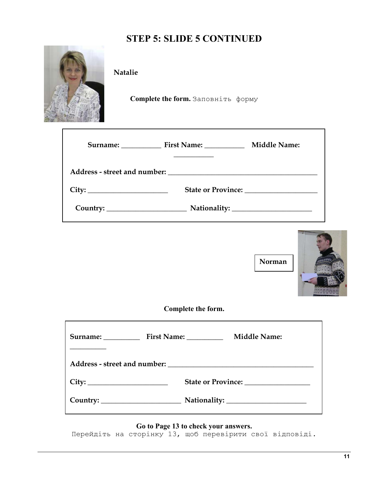# **STEP 5: SLIDE 5 CONTINUED**

**Natalie** 

**Complete the form.** Заповніть форму

| Surname: First Name: | <b>Middle Name:</b> |
|----------------------|---------------------|
|                      |                     |
|                      |                     |
|                      |                     |



٦

**Complete the form.** 

| Surname: First Name: | <b>Middle Name:</b> |
|----------------------|---------------------|
|                      |                     |
|                      |                     |
|                      |                     |

**Go to Page 13 to check your answers.** 

Перейдіть на сторінку 13, щоб перевірити свої відповіді.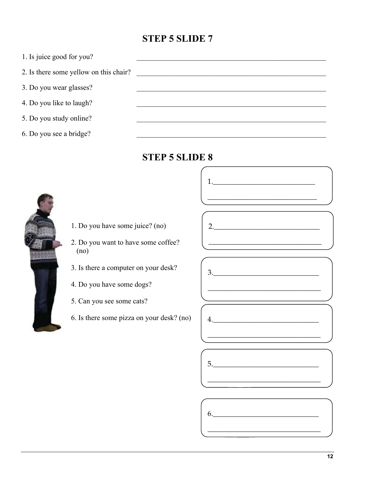## **STEP 5 SLIDE 7**



### **STEP 5 SLIDE 8**



- 1. Do you have some juice? (no)
- 2. Do you want to have some coffee?  $(no)$
- 3. Is there a computer on your desk?
- 4. Do you have some dogs?
- 5. Can you see some cats?
- 6. Is there some pizza on your desk? (no)



 $1.$ 





6.

 $\overline{4}$ .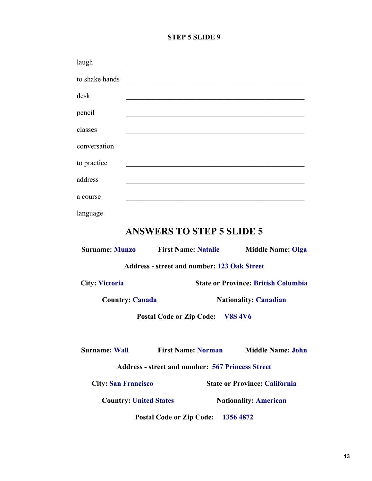#### **STEP 5 SLIDE 9**

| laugh                 |                                                                                                                       |                                            |
|-----------------------|-----------------------------------------------------------------------------------------------------------------------|--------------------------------------------|
| to shake hands        | <u> 1989 - Johann John Harry Harry Harry Harry Harry Harry Harry Harry Harry Harry Harry Harry Harry Harry Harry</u>  |                                            |
| desk                  |                                                                                                                       |                                            |
| pencil                |                                                                                                                       |                                            |
| classes               | <u>. De la provincia de la contrada de la contrada de la contrada de la contrada de la contrada de la contrada de</u> |                                            |
| conversation          |                                                                                                                       |                                            |
| to practice           | <u> 1988 - Jan James James Barbara, martxa amerikan personal (h. 1988).</u>                                           |                                            |
| address               |                                                                                                                       |                                            |
| a course              |                                                                                                                       |                                            |
| language              | <u> 1989 - Johann Stoff, amerikansk politiker (d. 1989)</u>                                                           |                                            |
|                       | <b>ANSWERS TO STEP 5 SLIDE 5</b>                                                                                      |                                            |
| <b>Surname: Munzo</b> | <b>First Name: Natalie</b>                                                                                            | <b>Middle Name: Olga</b>                   |
|                       | <b>Address - street and number: 123 Oak Street</b>                                                                    |                                            |
| <b>City: Victoria</b> |                                                                                                                       | <b>State or Province: British Columbia</b> |
|                       | <b>Country: Canada</b>                                                                                                | <b>Nationality: Canadian</b>               |
|                       | Postal Code or Zip Code: V8S 4V6                                                                                      |                                            |
|                       |                                                                                                                       |                                            |

**Surname: Wall First Name: Norman Middle Name: John**

**Address - street and number: 567 Princess Street**

**City: San Francisco State or Province: California**

**Country: United States Nationality: American**

Postal Code or Zip Code: 1356 4872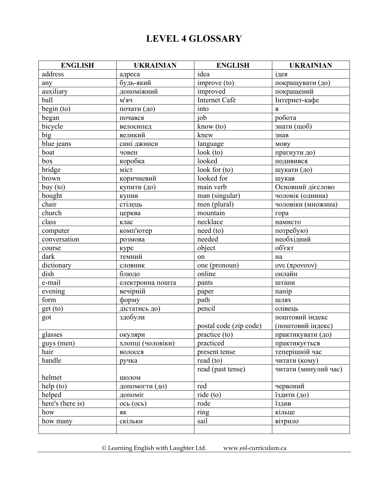# **LEVEL 4 GLOSSARY**

| <b>ENGLISH</b>              | <b>UKRAINIAN</b>  | <b>ENGLISH</b>         | <b>UKRAINIAN</b>     |
|-----------------------------|-------------------|------------------------|----------------------|
| address                     | адреса            | idea                   | ідея                 |
| any                         | будь-який         | improve (to)           | покращувати (до)     |
| auxiliary                   | допоміжний        | improved               | покращений           |
| ball                        | м'яч              | Internet Café          | Інтернет-кафе        |
| begin (to)                  | почати (до)       | into                   | $\bf{B}$             |
| began                       | почався           | job                    | робота               |
| bicycle                     | велосипед         | know (to)              | знати (щоб)          |
| big                         | великий           | knew                   | знав                 |
| blue jeans                  | сині джинси       | language               | <b>MOBY</b>          |
| boat                        | човен             | look(to)               | прагнути до)         |
| box                         | коробка           | looked                 | подивився            |
| bridge                      | міст              | look for $(to)$        | шукати (до)          |
| brown                       | коричневий        | looked for             | шукав                |
| buy (to)                    | купити (до)       | main verb              | Основний дієслово    |
| bought                      | купив             | man (singular)         | чоловік (однина)     |
| chair                       | стілець           | men (plural)           | чоловіки (множина)   |
| church                      | церква            | mountain               | гора                 |
| class                       | клас              | necklace               | намисто              |
| computer                    | комп'ютер         | need (to)              | потребую)            |
| conversation                | розмова           | needed                 | необхідний           |
| course                      | курс              | object                 | об'єкт               |
| dark                        | темний            | on                     | Ha                   |
| dictionary                  | словник           | one (pronoun)          | $ovε$ (προνουν)      |
| dish                        | блюдо             | online                 | онлайн               |
| e-mail                      | електронна пошта  | pants                  | штани                |
| $\overline{\text{evening}}$ | вечірній          | paper                  | папір                |
| form                        | форму             | path                   | ШЛЯХ                 |
| get (to)                    | дістатись до)     | pencil                 | олівець              |
| got                         | здобули           |                        | поштовий індекс      |
|                             |                   | postal code (zip code) | (поштовий індекс)    |
| glasses                     | окуляри           | practice (to)          | практикувати (до)    |
| guys (men)                  | хлопці (чоловіки) | practiced              | практикується        |
| hair                        | волосся           | present tense          | теперішній час       |
| handle                      | ручка             | read $(to)$            | читати (кому)        |
| helmet                      | шолом             | read (past tense)      | читати (минулий час) |
| help (to)                   | допомогти (до)    | red                    | червоний             |
| helped                      | допоміг           | ride (to)              | їздити (до)          |
| here's (here is)            | $ocb$ (ось)       | rode                   | їздив                |
| how                         | ЯК                | ring                   | кільце               |
| how many                    | скільки           | sail                   | вітрило              |
|                             |                   |                        |                      |

Learning English with Laughter Ltd. www.esl-curriculum.ca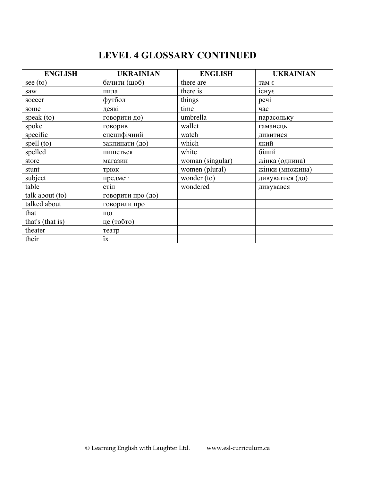# **LEVEL 4 GLOSSARY CONTINUED**

| <b>ENGLISH</b>   | <b>UKRAINIAN</b>  | <b>ENGLISH</b>   | <b>UKRAINIAN</b>   |
|------------------|-------------------|------------------|--------------------|
| see (to)         | бачити (щоб)      | there are        | там є              |
| saw              | пила              | there is         | $i$ chy $\epsilon$ |
| soccer           | футбол            | things           | peyi               |
| some             | деякі             | time             | час                |
| speak (to)       | говорити до)      | umbrella         | парасольку         |
| spoke            | говорив           | wallet           | гаманець           |
| specific         | специфічний       | watch            | дивитися           |
| spell (to)       | заклинати (до)    | which            | який               |
| spelled          | пишеться          | white            | білий              |
| store            | магазин           | woman (singular) | жінка (однина)     |
| stunt            | трюк              | women (plural)   | жінки (множина)    |
| subject          | предмет           | wonder (to)      | дивуватися (до)    |
| table            | стіл              | wondered         | дивувався          |
| talk about (to)  | говорити про (до) |                  |                    |
| talked about     | говорили про      |                  |                    |
| that             | ЩО                |                  |                    |
| that's (that is) | це (тобто)        |                  |                    |
| theater          | театр             |                  |                    |
| their            | ïx                |                  |                    |